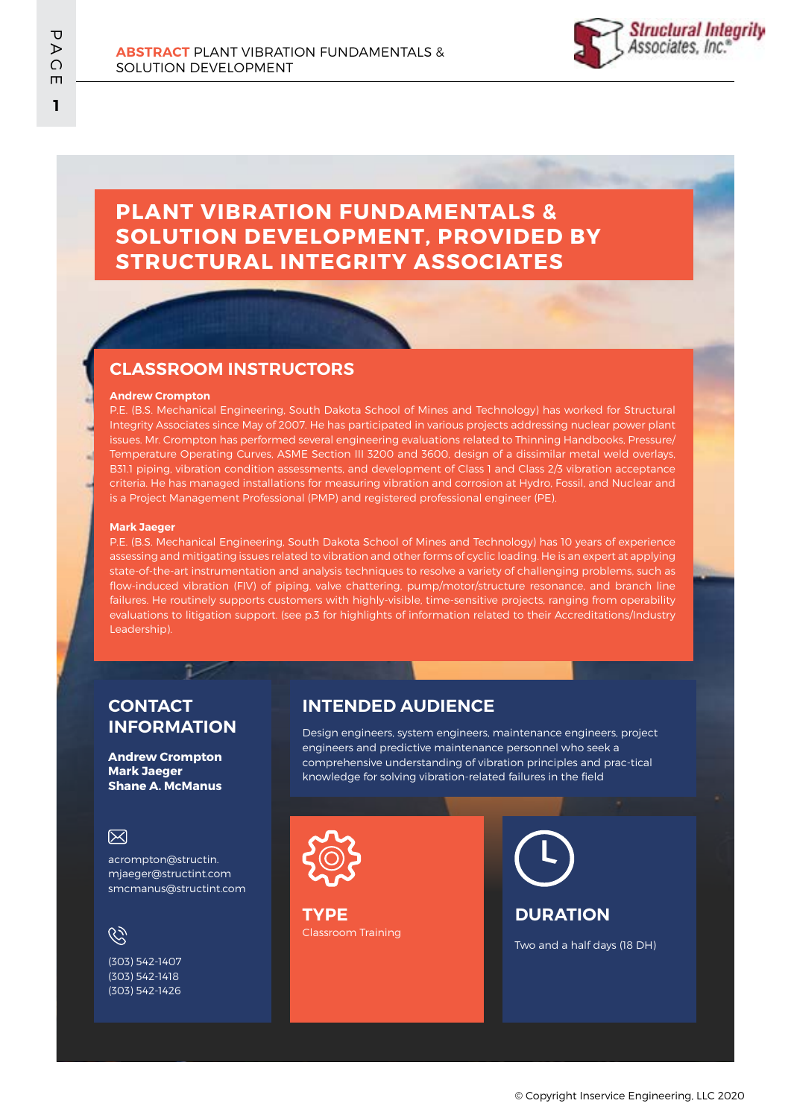

# **PLANT VIBRATION FUNDAMENTALS & SOLUTION DEVELOPMENT, PROVIDED BY STRUCTURAL INTEGRITY ASSOCIATES**

## **CLASSROOM INSTRUCTORS**

#### **Andrew Crompton**

P.E. (B.S. Mechanical Engineering, South Dakota School of Mines and Technology) has worked for Structural Integrity Associates since May of 2007. He has participated in various projects addressing nuclear power plant issues. Mr. Crompton has performed several engineering evaluations related to Thinning Handbooks, Pressure/ Temperature Operating Curves, ASME Section III 3200 and 3600, design of a dissimilar metal weld overlays, B31.1 piping, vibration condition assessments, and development of Class 1 and Class 2/3 vibration acceptance criteria. He has managed installations for measuring vibration and corrosion at Hydro, Fossil, and Nuclear and is a Project Management Professional (PMP) and registered professional engineer (PE).

#### **Mark Jaeger**

P.E. (B.S. Mechanical Engineering, South Dakota School of Mines and Technology) has 10 years of experience assessing and mitigating issues related to vibration and other forms of cyclic loading. He is an expert at applying state-of-the-art instrumentation and analysis techniques to resolve a variety of challenging problems, such as flow-induced vibration (FIV) of piping, valve chattering, pump/motor/structure resonance, and branch line failures. He routinely supports customers with highly-visible, time-sensitive projects, ranging from operability evaluations to litigation support. (see p.3 for highlights of information related to their Accreditations/Industry Leadership).

#### **CONTACT INFORMATION**

**Andrew Crompton Mark Jaeger Shane A. McManus**

#### 冈

acrompton@structin. mjaeger@structint.com smcmanus@structint.com

# $\mathscr{C}$

(303) 542-1407 (303) 542-1418 (303) 542-1426

### **INTENDED AUDIENCE**

Design engineers, system engineers, maintenance engineers, project engineers and predictive maintenance personnel who seek a comprehensive understanding of vibration principles and prac-tical knowledge for solving vibration-related failures in the field



Classroom Training **TYPE**

**DURATION**

Two and a half days (18 DH)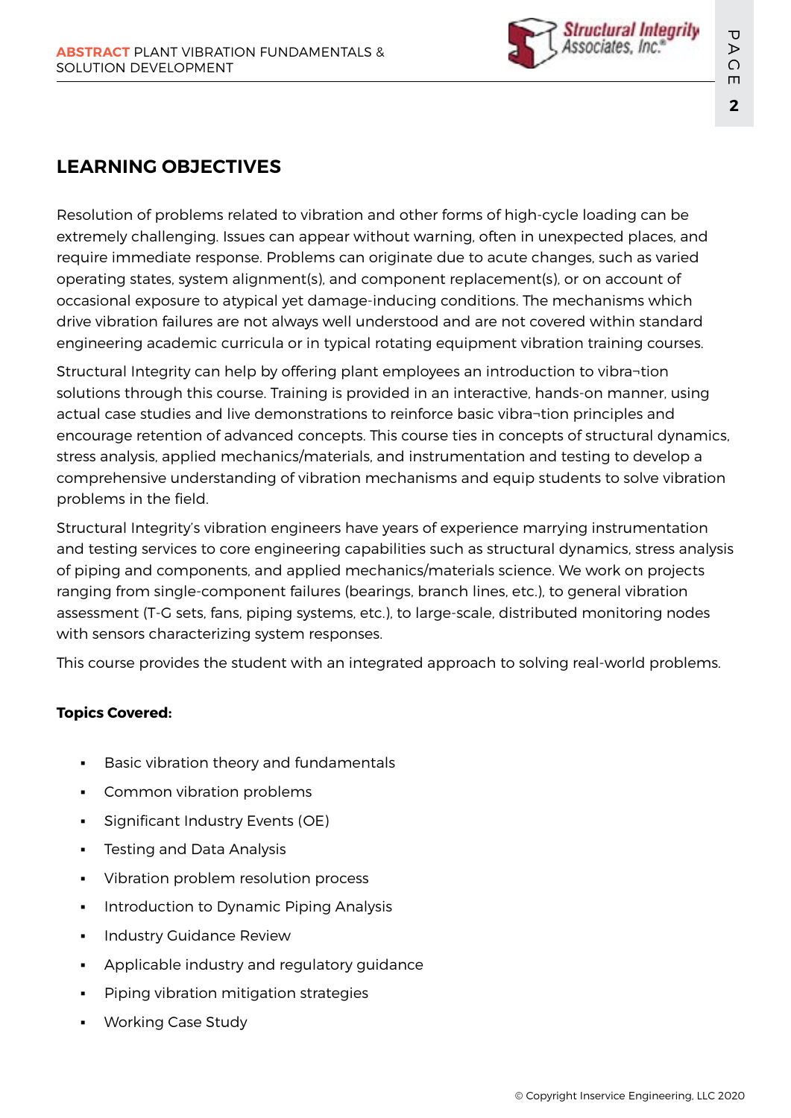

# **LEARNING OBJECTIVES**

Resolution of problems related to vibration and other forms of high-cycle loading can be extremely challenging. Issues can appear without warning, often in unexpected places, and require immediate response. Problems can originate due to acute changes, such as varied operating states, system alignment(s), and component replacement(s), or on account of occasional exposure to atypical yet damage-inducing conditions. The mechanisms which drive vibration failures are not always well understood and are not covered within standard engineering academic curricula or in typical rotating equipment vibration training courses.

Structural Integrity can help by offering plant employees an introduction to vibra¬tion solutions through this course. Training is provided in an interactive, hands-on manner, using actual case studies and live demonstrations to reinforce basic vibra¬tion principles and encourage retention of advanced concepts. This course ties in concepts of structural dynamics, stress analysis, applied mechanics/materials, and instrumentation and testing to develop a comprehensive understanding of vibration mechanisms and equip students to solve vibration problems in the field.

Structural Integrity's vibration engineers have years of experience marrying instrumentation and testing services to core engineering capabilities such as structural dynamics, stress analysis of piping and components, and applied mechanics/materials science. We work on projects ranging from single-component failures (bearings, branch lines, etc.), to general vibration assessment (T-G sets, fans, piping systems, etc.), to large-scale, distributed monitoring nodes with sensors characterizing system responses.

This course provides the student with an integrated approach to solving real-world problems.

### **Topics Covered:**

- Basic vibration theory and fundamentals
- Common vibration problems
- Significant Industry Events (OE)
- **Testing and Data Analysis**
- Vibration problem resolution process
- Introduction to Dynamic Piping Analysis
- **Industry Guidance Review**
- Applicable industry and regulatory guidance
- Piping vibration mitigation strategies
- **Working Case Study**